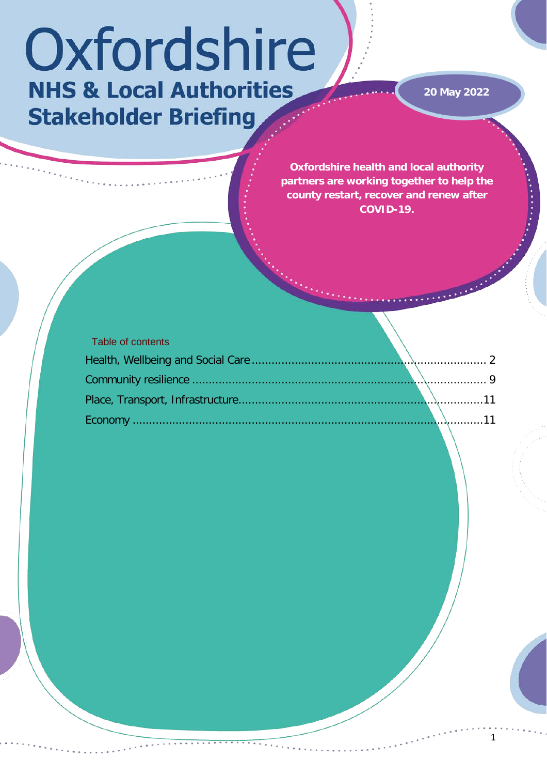# Oxfordshire **NHS & Local Authorities Stakeholder Briefing**

**20 May 2022**

**Oxfordshire health and local authority partners are working together to help the county restart, recover and renew after COVID-19.** 

| Table of contents |  |  |
|-------------------|--|--|
|                   |  |  |
|                   |  |  |
|                   |  |  |
|                   |  |  |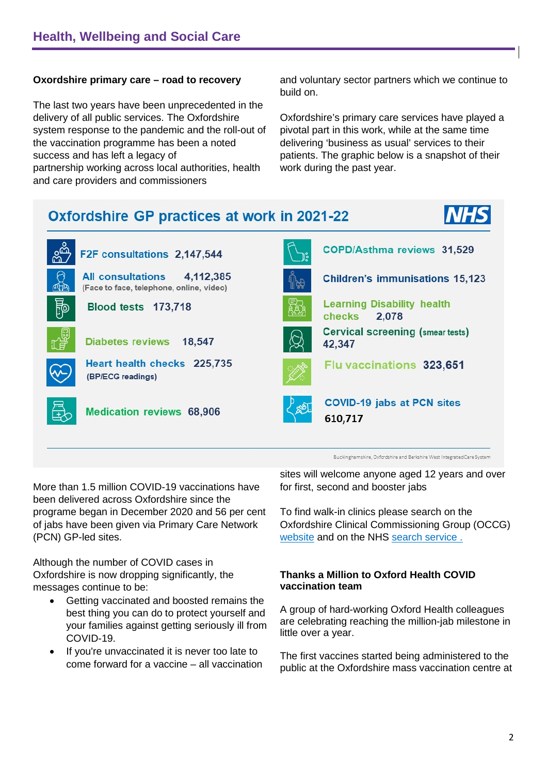# <span id="page-1-0"></span>**Oxordshire primary care – road to recovery**

The last two years have been unprecedented in the delivery of all public services. The Oxfordshire system response to the pandemic and the roll-out of the vaccination programme has been a noted success and has left a legacy of partnership working across local authorities, health and care providers and commissioners

and voluntary sector partners which we continue to build on.

Oxfordshire's primary care services have played a pivotal part in this work, while at the same time delivering 'business as usual' services to their patients. The graphic below is a snapshot of their work during the past year.



Buckinghamshire, Oxfordshire and Berkshire West Integrated Care System

More than 1.5 million COVID-19 vaccinations have been delivered across Oxfordshire since the programe began in December 2020 and 56 per cent of jabs have been given via Primary Care Network (PCN) GP-led sites.

Although the number of COVID cases in Oxfordshire is now dropping significantly, the messages continue to be:

- Getting vaccinated and boosted remains the best thing you can do to protect yourself and your families against getting seriously ill from COVID-19.
- If you're unvaccinated it is never too late to come forward for a vaccine – all vaccination

sites will welcome anyone aged 12 years and over for first, second and booster jabs

To find walk-in clinics please search on the Oxfordshire Clinical Commissioning Group (OCCG) [website](https://www.oxfordshireccg.nhs.uk/your-health/walk-in-vaccine-clinics.htm) and on the NHS [search service](https://www.nhs.uk/service-search/find-a-walk-in-coronavirus-covid-19-vaccination-site) .

## **Thanks a Million to Oxford Health COVID vaccination team**

A group of hard-working Oxford Health colleagues are celebrating reaching the million-jab milestone in little over a year.

The first vaccines started being administered to the public at the Oxfordshire mass vaccination centre at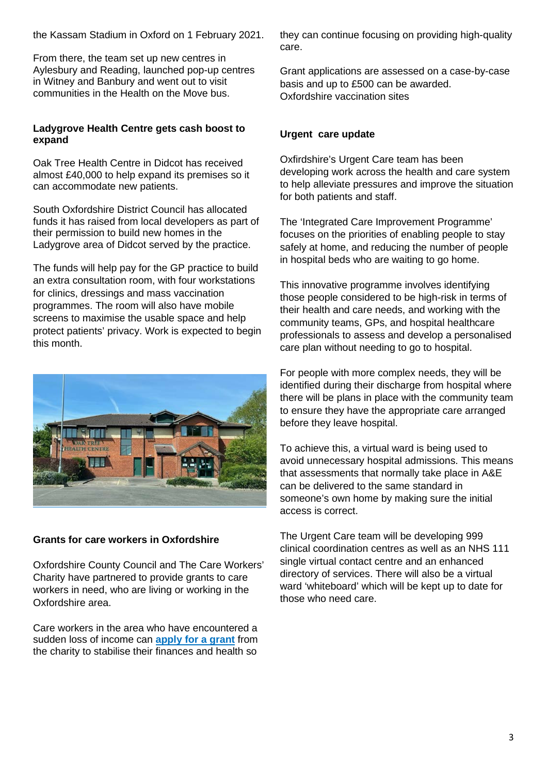the Kassam Stadium in Oxford on 1 February 2021.

From there, the team set up new centres in Aylesbury and Reading, launched pop-up centres in Witney and Banbury and went out to visit communities in the Health on the Move bus.

#### **Ladygrove Health Centre gets cash boost to expand**

Oak Tree Health Centre in Didcot has received almost £40,000 to help expand its premises so it can accommodate new patients.

South Oxfordshire District Council has allocated funds it has raised from local developers as part of their permission to build new homes in the Ladygrove area of Didcot served by the practice.

The funds will help pay for the GP practice to build an extra consultation room, with four workstations for clinics, dressings and mass vaccination programmes. The room will also have mobile screens to maximise the usable space and help protect patients' privacy. Work is expected to begin this month.



#### **Grants for care workers in Oxfordshire**

Oxfordshire County Council and The Care Workers' Charity have partnered to provide grants to care workers in need, who are living or working in the Oxfordshire area.

Care workers in the area who have encountered a sudden loss of income can **[apply for a grant](https://www.thecareworkerscharity.org.uk/crisis-grant/)** from the charity to stabilise their finances and health so

they can continue focusing on providing high-quality care.

Grant applications are assessed on a case-by-case basis and up to £500 can be awarded. Oxfordshire vaccination sites

#### **Urgent care update**

Oxfirdshire's Urgent Care team has been developing work across the health and care system to help alleviate pressures and improve the situation for both patients and staff.

The 'Integrated Care Improvement Programme' focuses on the priorities of enabling people to stay safely at home, and reducing the number of people in hospital beds who are waiting to go home.

This innovative programme involves identifying those people considered to be high-risk in terms of their health and care needs, and working with the community teams, GPs, and hospital healthcare professionals to assess and develop a personalised care plan without needing to go to hospital.

For people with more complex needs, they will be identified during their discharge from hospital where there will be plans in place with the community team to ensure they have the appropriate care arranged before they leave hospital.

To achieve this, a virtual ward is being used to avoid unnecessary hospital admissions. This means that assessments that normally take place in A&E can be delivered to the same standard in someone's own home by making sure the initial access is correct.

The Urgent Care team will be developing 999 clinical coordination centres as well as an NHS 111 single virtual contact centre and an enhanced directory of services. There will also be a virtual ward 'whiteboard' which will be kept up to date for those who need care.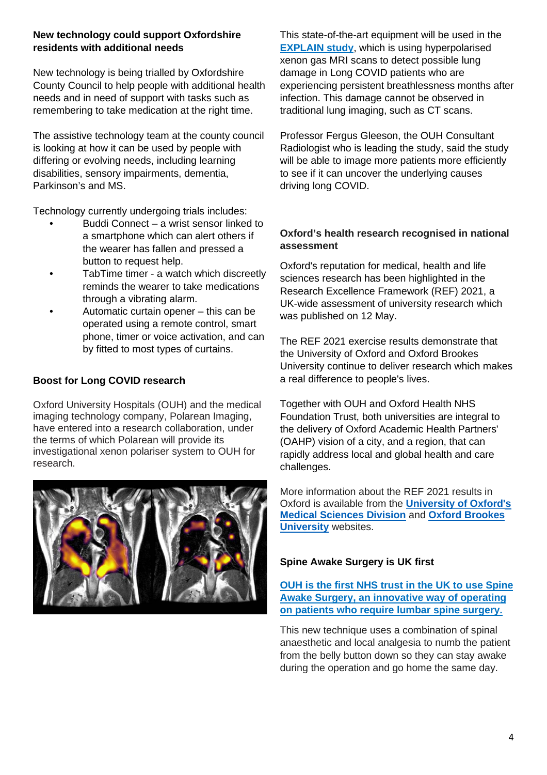# **New technology could support Oxfordshire residents with additional needs**

New technology is being trialled by Oxfordshire County Council to help people with additional health needs and in need of support with tasks such as remembering to take medication at the right time.

The assistive technology team at the county council is looking at how it can be used by people with differing or evolving needs, including learning disabilities, sensory impairments, dementia, Parkinson's and MS.

Technology currently undergoing trials includes:

- Buddi Connect a wrist sensor linked to a smartphone which can alert others if the wearer has fallen and pressed a button to request help.
- TabTime timer a watch which discreetly reminds the wearer to take medications through a vibrating alarm.
- Automatic curtain opener this can be operated using a remote control, smart phone, timer or voice activation, and can by fitted to most types of curtains.

# **Boost for Long COVID research**

Oxford University Hospitals (OUH) and the medical imaging technology company, Polarean Imaging, have entered into a research collaboration, under the terms of which Polarean will provide its investigational xenon polariser system to OUH for research.



This state-of-the-art equipment will be used in the **[EXPLAIN study](https://www.ouh.nhs.uk/news/article.aspx?id=1763&returnurl=/default.aspx&pi=0)**, which is using hyperpolarised xenon gas MRI scans to detect possible lung damage in Long COVID patients who are experiencing persistent breathlessness months after infection. This damage cannot be observed in traditional lung imaging, such as CT scans.

Professor Fergus Gleeson, the OUH Consultant Radiologist who is leading the study, said the study will be able to image more patients more efficiently to see if it can uncover the underlying causes driving long COVID.

## **Oxford's health research recognised in national assessment**

Oxford's reputation for medical, health and life sciences research has been highlighted in the Research Excellence Framework (REF) 2021, a UK-wide assessment of university research which was published on 12 May.

The REF 2021 exercise results demonstrate that the University of Oxford and Oxford Brookes University continue to deliver research which makes a real difference to people's lives.

Together with OUH and Oxford Health NHS Foundation Trust, both universities are integral to the delivery of Oxford Academic Health Partners' (OAHP) vision of a city, and a region, that can rapidly address local and global health and care challenges.

More information about the REF 2021 results in Oxford is available from the **[University of Oxford's](https://www.medsci.ox.ac.uk/news/medical-sciences-division-receives-ref-2021-results)  [Medical Sciences Division](https://www.medsci.ox.ac.uk/news/medical-sciences-division-receives-ref-2021-results)** and **[Oxford Brookes](https://www.brookes.ac.uk/about-brookes/news/ref-2021/)  [University](https://www.brookes.ac.uk/about-brookes/news/ref-2021/)** websites.

# **Spine Awake Surgery is UK first**

**OUH [is the first NHS trust in the UK to use Spine](https://www.ouh.nhs.uk/news/article.aspx?id=1747&returnurl=/news/archive.aspx&pi=0)  [Awake Surgery, an innovative way of operating](https://www.ouh.nhs.uk/news/article.aspx?id=1747&returnurl=/news/archive.aspx&pi=0)  [on patients who require lumbar spine surgery.](https://www.ouh.nhs.uk/news/article.aspx?id=1747&returnurl=/news/archive.aspx&pi=0)**

This new technique uses a combination of spinal anaesthetic and local analgesia to numb the patient from the belly button down so they can stay awake during the operation and go home the same day.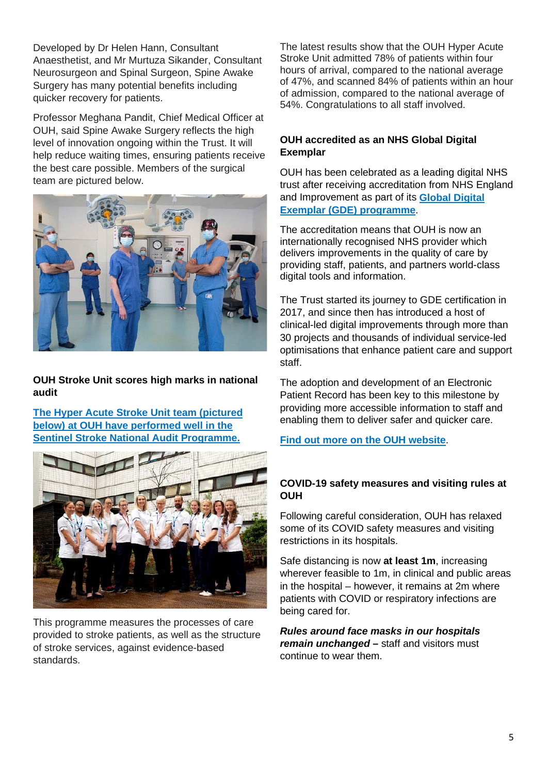Developed by Dr Helen Hann, Consultant Anaesthetist, and Mr Murtuza Sikander, Consultant Neurosurgeon and Spinal Surgeon, Spine Awake Surgery has many potential benefits including quicker recovery for patients.

Professor Meghana Pandit, Chief Medical Officer at OUH, said Spine Awake Surgery reflects the high level of innovation ongoing within the Trust. It will help reduce waiting times, ensuring patients receive the best care possible. Members of the surgical team are pictured below.



**OUH Stroke Unit scores high marks in national audit**

**[The Hyper Acute Stroke Unit team \(pictured](https://www.ouh.nhs.uk/news/article.aspx?id=1759&returnurl=/news/default.aspx&pi=0)  [below\) at OUH have performed well in the](https://www.ouh.nhs.uk/news/article.aspx?id=1759&returnurl=/news/default.aspx&pi=0)  [Sentinel Stroke National Audit Programme.](https://www.ouh.nhs.uk/news/article.aspx?id=1759&returnurl=/news/default.aspx&pi=0)**



This programme measures the processes of care provided to stroke patients, as well as the structure of stroke services, against evidence-based standards.

The latest results show that the OUH Hyper Acute Stroke Unit admitted 78% of patients within four hours of arrival, compared to the national average of 47%, and scanned 84% of patients within an hour of admission, compared to the national average of 54%. Congratulations to all staff involved.

# **OUH accredited as an NHS Global Digital Exemplar**

OUH has been celebrated as a leading digital NHS trust after receiving accreditation from NHS England and Improvement as part of its **[Global Digital](https://www.england.nhs.uk/digitaltechnology/connecteddigitalsystems/exemplars/)  [Exemplar \(GDE\) programme](https://www.england.nhs.uk/digitaltechnology/connecteddigitalsystems/exemplars/)**.

The accreditation means that OUH is now an internationally recognised NHS provider which delivers improvements in the quality of care by providing staff, patients, and partners world-class digital tools and information.

The Trust started its journey to GDE certification in 2017, and since then has introduced a host of clinical-led digital improvements through more than 30 projects and thousands of individual service-led optimisations that enhance patient care and support staff.

The adoption and development of an Electronic Patient Record has been key to this milestone by providing more accessible information to staff and enabling them to deliver safer and quicker care.

# **[Find out more on the OUH website](https://www.ouh.nhs.uk/news/article.aspx?id=1738)**.

#### **COVID-19 safety measures and visiting rules at OUH**

Following careful consideration, OUH has relaxed some of its COVID safety measures and visiting restrictions in its hospitals.

Safe distancing is now **at least 1m**, increasing wherever feasible to 1m, in clinical and public areas in the hospital – however, it remains at 2m where patients with COVID or respiratory infections are being cared for.

*Rules around face masks in our hospitals remain unchanged* **–** staff and visitors must continue to wear them.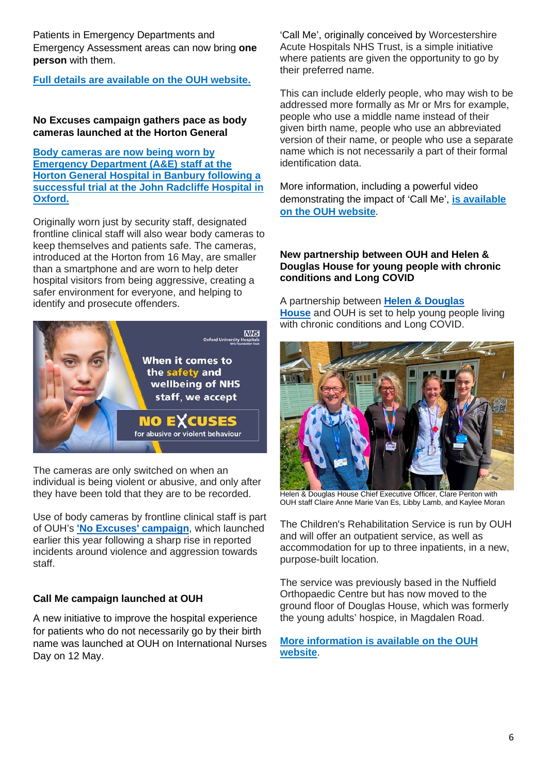Patients in Emergency Departments and Emergency Assessment areas can now bring **one person** with them.

**[Full details are available on the OUH website.](https://www.ouh.nhs.uk/covid-19/faqs.aspx)**

## **No Excuses campaign gathers pace as body cameras launched at the Horton General**

**[Body cameras are now being worn by](https://www.ouh.nhs.uk/news/article.aspx?id=1768&returnurl=/default.aspx&pi=0)  [Emergency Department \(A&E\) staff at the](https://www.ouh.nhs.uk/news/article.aspx?id=1768&returnurl=/default.aspx&pi=0)  [Horton General Hospital in Banbury following a](https://www.ouh.nhs.uk/news/article.aspx?id=1768&returnurl=/default.aspx&pi=0)  [successful trial at the John Radcliffe Hospital in](https://www.ouh.nhs.uk/news/article.aspx?id=1768&returnurl=/default.aspx&pi=0)  [Oxford.](https://www.ouh.nhs.uk/news/article.aspx?id=1768&returnurl=/default.aspx&pi=0)**

Originally worn just by security staff, designated frontline clinical staff will also wear body cameras to keep themselves and patients safe. The cameras, introduced at the Horton from 16 May, are smaller than a smartphone and are worn to help deter hospital visitors from being aggressive, creating a safer environment for everyone, and helping to identify and prosecute offenders.



The cameras are only switched on when an individual is being violent or abusive, and only after they have been told that they are to be recorded.

Use of body cameras by frontline clinical staff is part of OUH's **['No Excuses' campaign](https://www.ouh.nhs.uk/news/article.aspx?id=1703)**, which launched earlier this year following a sharp rise in reported incidents around violence and aggression towards staff.

# **Call Me campaign launched at OUH**

A new initiative to improve the hospital experience for patients who do not necessarily go by their birth name was launched at OUH on International Nurses Day on 12 May.

'Call Me', originally conceived by Worcestershire Acute Hospitals NHS Trust, is a simple initiative where patients are given the opportunity to go by their preferred name.

This can include elderly people, who may wish to be addressed more formally as Mr or Mrs for example, people who use a middle name instead of their given birth name, people who use an abbreviated version of their name, or people who use a separate name which is not necessarily a part of their formal identification data.

More information, including a powerful video demonstrating the impact of 'Call Me', **[is available](https://www.ouh.nhs.uk/news/article.aspx?id=1766&returnurl=/default.aspx&pi=0)  [on the OUH website](https://www.ouh.nhs.uk/news/article.aspx?id=1766&returnurl=/default.aspx&pi=0)**.

#### **New partnership between OUH and Helen & Douglas House for young people with chronic conditions and Long COVID**

A partnership between **[Helen & Douglas](https://www.helenanddouglas.org.uk/)  [House](https://www.helenanddouglas.org.uk/)** and OUH is set to help young people living with chronic conditions and Long COVID.



Helen & Douglas House Chief Executive Officer, Clare Periton with OUH staff Claire Anne Marie Van Es, Libby Lamb, and Kaylee Moran

The Children's Rehabilitation Service is run by OUH and will offer an outpatient service, as well as accommodation for up to three inpatients, in a new, purpose-built location.

The service was previously based in the Nuffield Orthopaedic Centre but has now moved to the ground floor of Douglas House, which was formerly the young adults' hospice, in Magdalen Road.

#### **[More information is available on the OUH](https://www.ouh.nhs.uk/news/article.aspx?id=1764&returnurl=/news/default.aspx&pi=0)  [website](https://www.ouh.nhs.uk/news/article.aspx?id=1764&returnurl=/news/default.aspx&pi=0)**.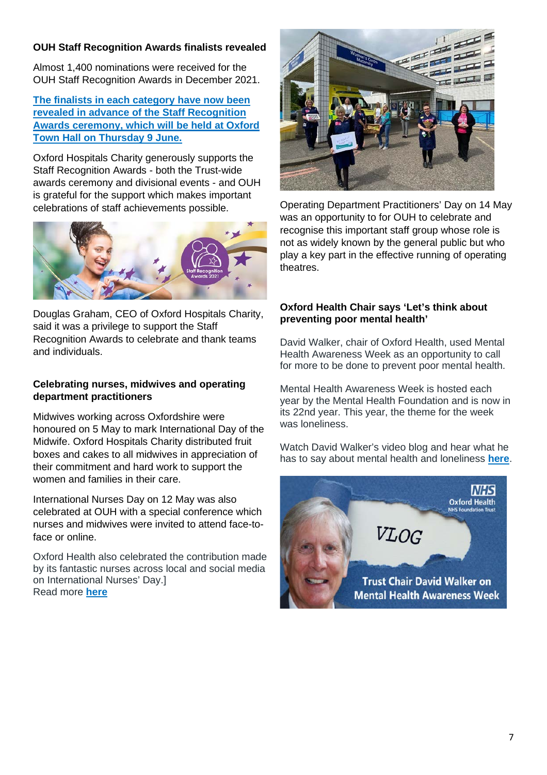# **OUH Staff Recognition Awards finalists revealed**

Almost 1,400 nominations were received for the OUH Staff Recognition Awards in December 2021.

**[The finalists in each category have now been](https://www.ouh.nhs.uk/news/article.aspx?id=1761&returnurl=/news/default.aspx&pi=0)  [revealed in advance of the Staff Recognition](https://www.ouh.nhs.uk/news/article.aspx?id=1761&returnurl=/news/default.aspx&pi=0)  [Awards ceremony, which will be held at Oxford](https://www.ouh.nhs.uk/news/article.aspx?id=1761&returnurl=/news/default.aspx&pi=0)  [Town Hall on Thursday 9](https://www.ouh.nhs.uk/news/article.aspx?id=1761&returnurl=/news/default.aspx&pi=0) June.**

Oxford Hospitals Charity generously supports the Staff Recognition Awards - both the Trust-wide awards ceremony and divisional events - and OUH is grateful for the support which makes important celebrations of staff achievements possible.



Douglas Graham, CEO of Oxford Hospitals Charity, said it was a privilege to support the Staff Recognition Awards to celebrate and thank teams and individuals.

#### **Celebrating nurses, midwives and operating department practitioners**

Midwives working across Oxfordshire were honoured on 5 May to mark International Day of the Midwife. Oxford Hospitals Charity distributed fruit boxes and cakes to all midwives in appreciation of their commitment and hard work to support the women and families in their care.

International Nurses Day on 12 May was also celebrated at OUH with a special conference which nurses and midwives were invited to attend face-toface or online.

Oxford Health also celebrated the contribution made by its fantastic nurses across local and social media on International Nurses' Day.] Read more **[here](https://www.oxfordhealth.nhs.uk/news/our-chief-nurse-marie-crofts-pays-tribute-to-our-amazing-nursing-staff-for-international-nurses-day/)**



Operating Department Practitioners' Day on 14 May was an opportunity to for OUH to celebrate and recognise this important staff group whose role is not as widely known by the general public but who play a key part in the effective running of operating theatres.

#### **Oxford Health Chair says 'Let's think about preventing poor mental health'**

David Walker, chair of Oxford Health, used Mental Health Awareness Week as an opportunity to call for more to be done to prevent poor mental health.

Mental Health Awareness Week is hosted each year by the Mental Health Foundation and is now in its 22nd year. This year, the theme for the week was loneliness.

Watch David Walker's video blog and hear what he has to say about mental health and loneliness **[here](https://www.oxfordhealth.nhs.uk/news/trust-chair-david-walker-lets-think-about-preventing-poor-mental-health/)**.

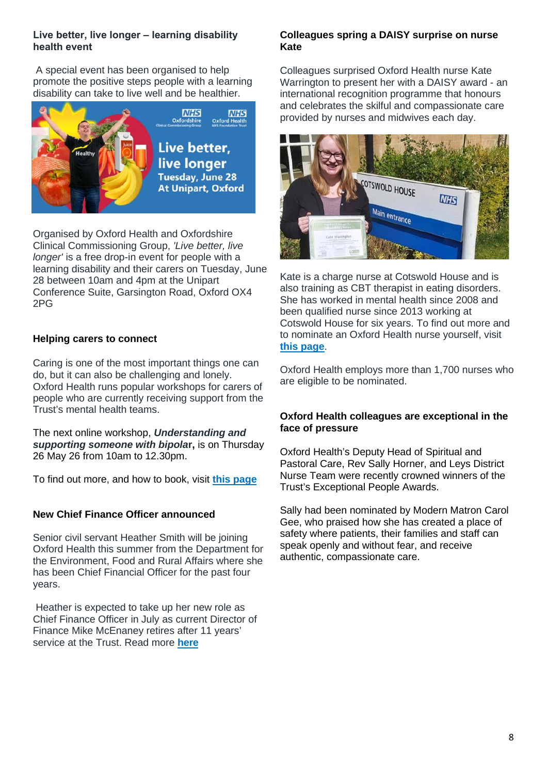#### **Live better, live longer – learning disability health event**

A special event has been organised to help promote the positive steps people with a learning disability can take to live well and be healthier.



Organised by Oxford Health and Oxfordshire Clinical Commissioning Group, *'Live better, live longer'* is a free drop-in event for people with a learning disability and their carers on Tuesday, June 28 between 10am and 4pm at the Unipart Conference Suite, Garsington Road, Oxford OX4 2PG

#### **Helping carers to connect**

Caring is one of the most important things one can do, but it can also be challenging and lonely. Oxford Health runs popular workshops for carers of people who are currently receiving support from the Trust's mental health teams.

The next online workshop, *Understanding and supporting someone with bipola***r,** is on Thursday 26 May 26 from 10am to 12.30pm.

To find out more, and how to book, visit **this page**

#### **New Chief Finance Officer announced**

Senior civil servant Heather Smith will be joining Oxford Health this summer from the Department for the Environment, Food and Rural Affairs where she has been Chief Financial Officer for the past four years.

Heather is expected to take up her new role as Chief Finance Officer in July as [curren](https://www.oxfordhealth.nhs.uk/news/new-chief-finance-officer-announced/)t Director of Finance Mike McEnaney retires after 11 years' service at the Trust. Read more **here**

#### **Colleagues spring a DAISY surprise on nurse Kate**

Colleagues surprised Oxford Health nurse Kate Warrington to present her with a DAISY award - an international recognition programme that honours and celebrates the skilful and compassionate care provided by nurses and midwives each day.



Kate is a charge nurse at Cotswold House and is also training as CBT therapist in eating disorders. She has worked in mental health since 2008 and been qualified nurse since 2013 working at Cotswold House for six years. To find out more and to nominate an Oxford Health nurse yourself, visit **[this page](https://www.oxfordhealth.nhs.uk/news/the-daisy-award-for-extraordinary-nurses/)**.

Oxford Health employs more than 1,700 nurses who are eligible to be nominated.

#### **Oxford Health colleagues are exceptional in the face of pressure**

Oxford Health's Deputy Head of Spiritual and Pastoral Care, Rev Sally Horner, and Leys District Nurse Team were recently crowned winners of the Trust's Exceptional People Awards.

Sally had been nominated by Modern Matron Carol Gee, who praised how she has created a place of safety where patients, their families and staff can speak openly and without fear, and receive authentic, compassionate care.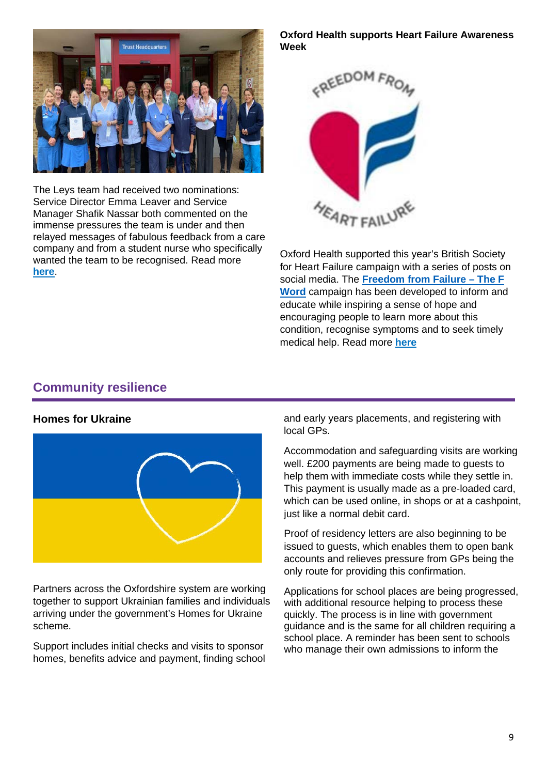

The Leys team had received two nominations: Service Director Emma Leaver and Service Manager Shafik Nassar both commented on the immense pressures the team is under and then relayed messages of fabulous feedback from a care company and from a student nurse who specifically wanted the team to be recognised. Read more **[here](https://www.oxfordhealth.nhs.uk/news/exceptional-in-the-face-of-pressure/)**.

#### **Oxford Health supports Heart Failure Awareness Week**



Oxford Health supported this year's British Society for Heart Failure campaign with a series of posts on social media. The **[Freedom from Failure – The F](https://www.bsh.org.uk/the-f-word/)  [Word](https://www.bsh.org.uk/the-f-word/)** campaign has been developed to inform and educate while inspiring a sense of hope and encouraging people to learn more about this condition, recognise symptoms and to seek timely medical help. Read more **[here](https://www.oxfordhealth.nhs.uk/news/oxford-health-supporting-heart-failure-awareness-week/)**

# <span id="page-8-0"></span>**Community resilience**

#### **Homes for Ukraine**



Partners across the Oxfordshire system are working together to support Ukrainian families and individuals arriving under the government's Homes for Ukraine scheme.

Support includes initial checks and visits to sponsor homes, benefits advice and payment, finding school and early years placements, and registering with local GPs.

Accommodation and safeguarding visits are working well. £200 payments are being made to guests to help them with immediate costs while they settle in. This payment is usually made as a pre-loaded card, which can be used online, in shops or at a cashpoint, just like a normal debit card.

Proof of residency letters are also beginning to be issued to guests, which enables them to open bank accounts and relieves pressure from GPs being the only route for providing this confirmation.

Applications for school places are being progressed, with additional resource helping to process these quickly. The process is in line with government guidance and is the same for all children requiring a school place. A reminder has been sent to schools who manage their own admissions to inform the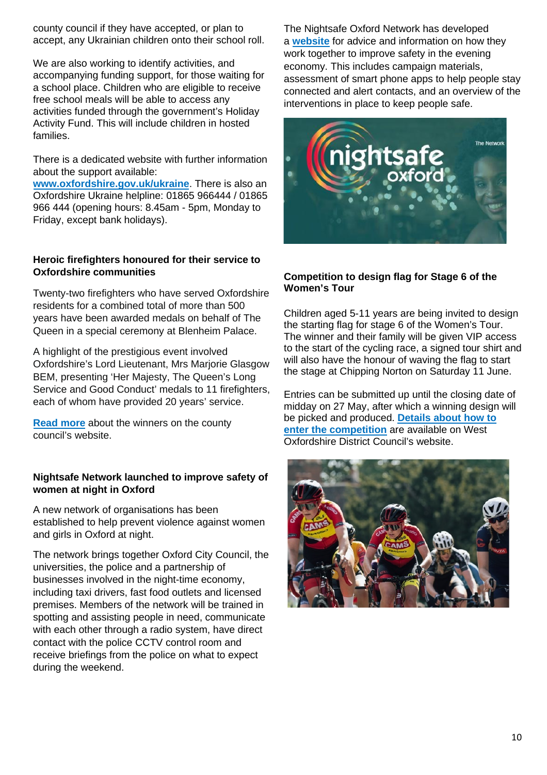county council if they have accepted, or plan to accept, any Ukrainian children onto their school roll.

We are also working to identify activities, and accompanying funding support, for those waiting for a school place. Children who are eligible to receive free school meals will be able to access any activities funded through the government's Holiday Activity Fund. This will include children in hosted families.

There is a dedicated website with further information about [the support available:](http://www.oxfordshire.gov.uk/ukraine) 

**www.oxfordshire.gov.uk/ukraine**. There is also an Oxfordshire Ukraine helpline: 01865 966444 / 01865 966 444 (opening hours: 8.45am - 5pm, Monday to Friday, except bank holidays).

# **Heroic firefighters honoured for their service to Oxfordshire communities**

Twenty-two firefighters who have served Oxfordshire residents for a combined total of more than 500 years have been awarded medals on behalf of The Queen in a special ceremony at Blenheim Palace.

A highlight of the prestigious event involved Oxfordshire's Lord Lieutenant, Mrs Marjorie Glasgow BEM, presenting 'Her Majesty, The Queen's Long Service and Good Conduct' medals to 11 firefighters, [each of who](https://news.oxfordshire.gov.uk/heroic-firefighters-are-honoured/)m have provided 20 years' service.

**Read more** about the winners on the county council's website.

# **Nightsafe Network launched to improve safety of women at night in Oxford**

A new network of organisations has been established to help prevent violence against women and girls in Oxford at night.

<span id="page-9-0"></span>The network brings together Oxford City Council, the universities, the police and a partnership of businesses involved in the night-time economy, including taxi drivers, fast food outlets and licensed premises. Members of the network will be trained in spotting and assisting people in need, communicate with each other through a radio system, have direct contact with the police CCTV control room and receive briefings from the police on what to expect during the weekend.

The Nightsafe Oxford Network has developed a **[website](https://www.oxfordcitycrimepartnership.co.uk/nightsafe-oxford/)** for advice and information on how they work together to improve safety in the evening economy. This includes campaign materials, assessment of smart phone apps to help people stay connected and alert contacts, and an overview of the interventions in place to keep people safe.



## **Competition to design flag for Stage 6 of the Women's Tour**

Children aged 5-11 years are being invited to design the starting flag for stage 6 of the Women's Tour. The winner and their family will be given VIP access to the start of the cycling race, a signed tour shirt and will also have the honour of waving the flag to start the stage at Chipping Norton on Saturday 11 June.

Entries can be submitted up until the closing date of midday on 27 May, after which a winning design will be picked and produced. **[Details about how to](https://news.westoxon.gov.uk/news/children-given-chance-to-win-vip-access-to-the-start-of-stage-6-of-the-womens-tour)  [enter the competition](https://news.westoxon.gov.uk/news/children-given-chance-to-win-vip-access-to-the-start-of-stage-6-of-the-womens-tour)** are available on West Oxfordshire District Council's website.

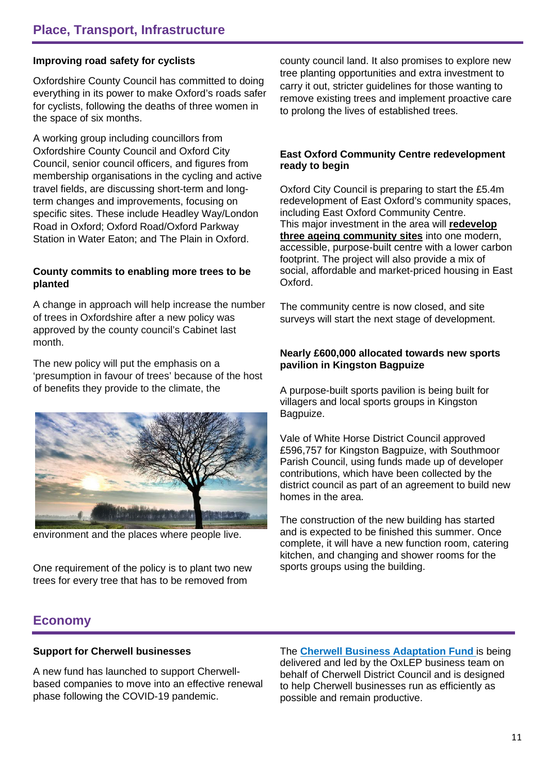## **Improving road safety for cyclists**

Oxfordshire County Council has committed to doing everything in its power to make Oxford's roads safer for cyclists, following the deaths of three women in the space of six months.

A working group including councillors from Oxfordshire County Council and Oxford City Council, senior council officers, and figures from membership organisations in the cycling and active travel fields, are discussing short-term and longterm changes and improvements, focusing on specific sites. These include Headley Way/London Road in Oxford; Oxford Road/Oxford Parkway Station in Water Eaton; and The Plain in Oxford.

#### **County commits to enabling more trees to be planted**

A change in approach will help increase the number of trees in Oxfordshire after a new policy was approved by the county council's Cabinet last month.

The new policy will put the emphasis on a 'presumption in favour of trees' because of the host of benefits they provide to the climate, the



environment and the places where people live.

One requirement of the policy is to plant two new trees for every tree that has to be removed from

county council land. It also promises to explore new tree planting opportunities and extra investment to carry it out, stricter guidelines for those wanting to remove existing trees and implement proactive care to prolong the lives of established trees.

#### **East Oxford Community Centre redevelopment ready to begin**

Oxford City Council is preparing to start the £5.4m redevelopment of East Oxford's community spaces, including East Oxford Community Centre. This major investment in the area will **[redevelop](https://www.oxford.gov.uk/info/20269/east_oxford_community_centre/562/east_oxford_community_centre_development)  [three ageing community sites](https://www.oxford.gov.uk/info/20269/east_oxford_community_centre/562/east_oxford_community_centre_development)** into one modern, accessible, purpose-built centre with a lower carbon footprint. The project will also provide a mix of social, affordable and market-priced housing in East Oxford.

The community centre is now closed, and site surveys will start the next stage of development.

#### **Nearly £600,000 allocated towards new sports pavilion in Kingston Bagpuize**

A purpose-built sports pavilion is being built for villagers and local sports groups in Kingston Bagpuize.

Vale of White Horse District Council approved £596,757 for Kingston Bagpuize, with Southmoor Parish Council, using funds made up of developer contributions, which have been collected by the district council as part of an agreement to build new homes in the area.

The construction of the new building has started and is expected to be finished this summer. Once complete, it will have a new function room, catering kitchen, and changing and shower rooms for the sports groups using the building.

# **Economy**

#### **Support for Cherwell businesses**

A new fund has launched to support Cherwellbased companies to move into an effective renewal phase following the COVID-19 pandemic.

The **[Cherwell Business Adaptation Fund](https://www.oxlepbusiness.co.uk/cherwell-business-adaptation-fund)** is being delivered and led by the OxLEP business team on behalf of Cherwell District Council and is designed to help Cherwell businesses run as efficiently as possible and remain productive.